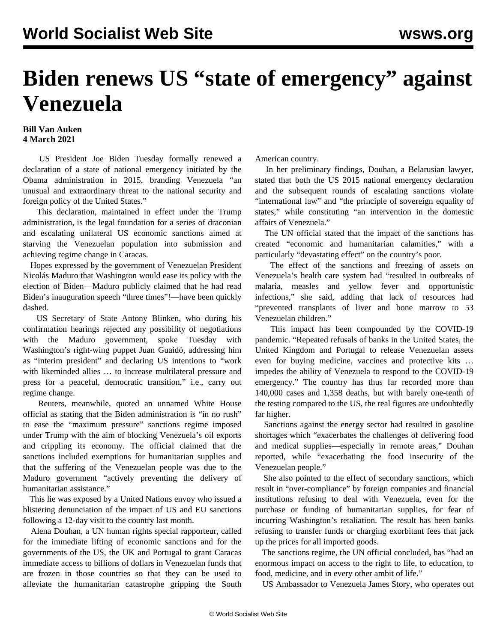## **Biden renews US "state of emergency" against Venezuela**

## **Bill Van Auken 4 March 2021**

 US President Joe Biden Tuesday formally renewed a declaration of a state of national emergency initiated by the Obama administration in 2015, branding Venezuela "an unusual and extraordinary threat to the national security and foreign policy of the United States."

 This declaration, maintained in effect under the Trump administration, is the legal foundation for a series of draconian and escalating unilateral US economic sanctions aimed at starving the Venezuelan population into submission and achieving regime change in Caracas.

 Hopes expressed by the government of Venezuelan President Nicolás Maduro that Washington would ease its policy with the election of Biden—Maduro publicly claimed that he had read Biden's inauguration speech "three times"!—have been quickly dashed.

 US Secretary of State Antony Blinken, who during his confirmation hearings rejected any possibility of negotiations with the Maduro government, spoke Tuesday with Washington's right-wing puppet Juan Guaidó, addressing him as "interim president" and declaring US intentions to "work with likeminded allies … to increase multilateral pressure and press for a peaceful, democratic transition," i.e., carry out regime change.

 Reuters, meanwhile, quoted an unnamed White House official as stating that the Biden administration is "in no rush" to ease the "maximum pressure" sanctions regime imposed under Trump with the aim of blocking Venezuela's oil exports and crippling its economy. The official claimed that the sanctions included exemptions for humanitarian supplies and that the suffering of the Venezuelan people was due to the Maduro government "actively preventing the delivery of humanitarian assistance."

 This lie was exposed by a United Nations envoy who issued a blistering denunciation of the impact of US and EU sanctions following a 12-day visit to the country last month.

 Alena Douhan, a UN human rights special rapporteur, called for the immediate lifting of economic sanctions and for the governments of the US, the UK and Portugal to grant Caracas immediate access to billions of dollars in Venezuelan funds that are frozen in those countries so that they can be used to alleviate the humanitarian catastrophe gripping the South American country.

 In her preliminary findings, Douhan, a Belarusian lawyer, stated that both the US 2015 national emergency declaration and the subsequent rounds of escalating sanctions violate "international law" and "the principle of sovereign equality of states," while constituting "an intervention in the domestic affairs of Venezuela."

 The UN official stated that the impact of the sanctions has created "economic and humanitarian calamities," with a particularly "devastating effect" on the country's poor.

 The effect of the sanctions and freezing of assets on Venezuela's health care system had "resulted in outbreaks of malaria, measles and yellow fever and opportunistic infections," she said, adding that lack of resources had "prevented transplants of liver and bone marrow to 53 Venezuelan children."

 This impact has been compounded by the COVID-19 pandemic. "Repeated refusals of banks in the United States, the United Kingdom and Portugal to release Venezuelan assets even for buying medicine, vaccines and protective kits … impedes the ability of Venezuela to respond to the COVID-19 emergency." The country has thus far recorded more than 140,000 cases and 1,358 deaths, but with barely one-tenth of the testing compared to the US, the real figures are undoubtedly far higher.

 Sanctions against the energy sector had resulted in gasoline shortages which "exacerbates the challenges of delivering food and medical supplies—especially in remote areas," Douhan reported, while "exacerbating the food insecurity of the Venezuelan people."

 She also pointed to the effect of secondary sanctions, which result in "over-compliance" by foreign companies and financial institutions refusing to deal with Venezuela, even for the purchase or funding of humanitarian supplies, for fear of incurring Washington's retaliation. The result has been banks refusing to transfer funds or charging exorbitant fees that jack up the prices for all imported goods.

 The sanctions regime, the UN official concluded, has "had an enormous impact on access to the right to life, to education, to food, medicine, and in every other ambit of life."

US Ambassador to Venezuela James Story, who operates out